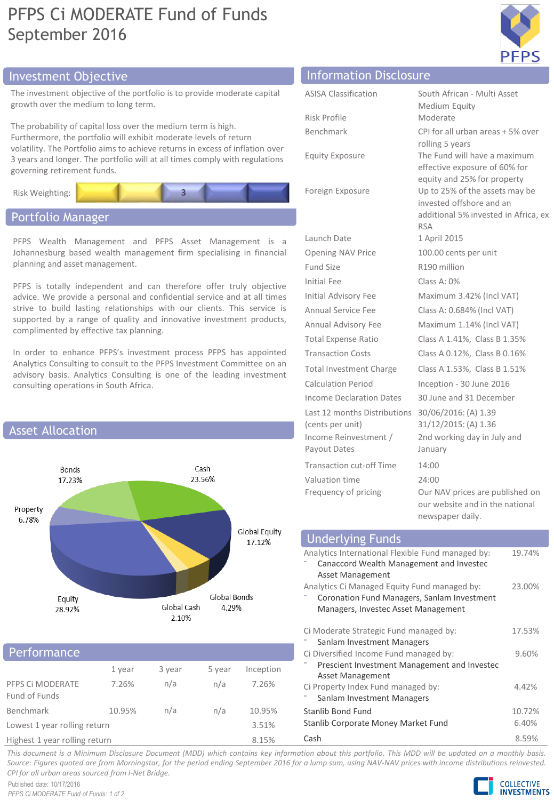# PFPS Ci MODERATE Fund of Funds September 2016



# Investment Objective

The investment objective of the portfolio is to provide moderate capital growth over the medium to long term.

The probability of capital loss over the medium term is high. Furthermore, the portfolio will exhibit moderate levels of return volatility. The Portfolio aims to achieve returns in excess of inflation over 3 years and longer. The portfolio will at all times comply with regulations governing retirement funds.



# Portfolio Manager

PFPS Wealth Management and PFPS Asset Management is a Johannesburg based wealth management firm specialising in financial planning and asset management.

PFPS is totally independent and can therefore offer truly objective advice. We provide a personal and confidential service and at all times strive to build lasting relationships with our clients. This service is supported by a range of quality and innovative investment products, complimented by effective tax planning.

In order to enhance PFPS's investment process PFPS has appointed Analytics Consulting to consult to the PFPS Investment Committee on an advisory basis. Analytics Consulting is one of the leading investment consulting operations in South Africa.



# Performance

|                                   | 1 year | 3 year | 5 year | Inception |  |
|-----------------------------------|--------|--------|--------|-----------|--|
| PFPS CI MODERATE<br>Fund of Funds | 7.26%  | n/a    | n/a    | 7.26%     |  |
| <b>Benchmark</b>                  | 10.95% | n/a    | n/a    | 10.95%    |  |
| Lowest 1 year rolling return      |        |        |        | 3.51%     |  |
| Highest 1 year rolling return     |        |        |        | 8.15%     |  |

| Highest 1 year rolling return |  |
|-------------------------------|--|
|-------------------------------|--|

| Information Disclosure |  |
|------------------------|--|
|                        |  |

| <b>ASISA Classification</b>                                               | South                               |
|---------------------------------------------------------------------------|-------------------------------------|
| <b>Risk Profile</b>                                                       | Medi<br>Mode                        |
| Benchmark                                                                 | CPI fo                              |
| <b>Equity Exposure</b>                                                    | rolling<br>The F<br>effect          |
| Foreign Exposure                                                          | equity<br>Up to<br>invest<br>additi |
|                                                                           | <b>RSA</b>                          |
| Launch Date<br><b>Opening NAV Price</b>                                   | 1 Apri<br>100.0                     |
| <b>Fund Size</b>                                                          | R190                                |
| <b>Initial Fee</b>                                                        |                                     |
|                                                                           | Class<br>Maxir                      |
| <b>Initial Advisory Fee</b>                                               |                                     |
| Annual Service Fee                                                        | Class                               |
| Annual Advisory Fee                                                       | Maxir                               |
| <b>Total Expense Ratio</b>                                                | Class                               |
| <b>Transaction Costs</b>                                                  | Class                               |
| <b>Total Investment Charge</b>                                            | Class                               |
| <b>Calculation Period</b>                                                 | Incep                               |
| <b>Income Declaration Dates</b>                                           | 30 Jur                              |
| Last 12 months Distributions<br>(cents per unit)<br>Income Reinvestment / | 30/06<br>31/12<br>2nd w             |
| Payout Dates                                                              | Janua                               |
| <b>Transaction cut-off Time</b>                                           | 14:00                               |
| Valuation time                                                            | 24:00                               |
|                                                                           |                                     |

uth African - Multi Asset edium Equity oderate I for all urban areas + 5% over ling 5 years e Fund will have a maximum ective exposure of 60% for uity and 25% for property to 25% of the assets may be rested offshore and an ditional 5% invested in Africa, ex A **pril 2015** 0.00 cents per unit 90 million  $\text{I}$ ss A: 0% aximum 3.42% (Incl VAT) 1ss A: 0.684% (Incl VAT) aximum 1.14% (Incl VAT) ISS A 1.41%, Class B 1.35% ass A 0.12%, Class B 0.16% ISS A 1.53%, Class B 1.51%  $c$ eption - 30 June 2016 June and 31 December 30/06/2016: (A) 1.39 31/12/2015: (A) 1.36 d working day in July and nuary Frequency of pricing **Our NAV** prices are published on our website and in the national newspaper daily.

| <b>Underlying Funds</b>                                                                                                            |                 |
|------------------------------------------------------------------------------------------------------------------------------------|-----------------|
| Analytics International Flexible Fund managed by:<br>Canaccord Wealth Management and Investec<br>Asset Management                  | 19.74%          |
| Analytics Ci Managed Equity Fund managed by:<br>Coronation Fund Managers, Sanlam Investment<br>Managers, Investec Asset Management | 23.00%          |
| Ci Moderate Strategic Fund managed by:<br>Sanlam Investment Managers                                                               | 17.53%          |
| Ci Diversified Income Fund managed by:<br>Prescient Investment Management and Investec<br>Asset Management                         | 9.60%           |
| Ci Property Index Fund managed by:<br>Sanlam Investment Managers                                                                   | 4.42%           |
| Stanlib Bond Fund<br>Stanlib Corporate Money Market Fund                                                                           | 10.72%<br>6.40% |
| Cash                                                                                                                               | 8.59%           |

This document is a Minimum Disclosure Document (MDD) which contains key information about this portfolio. This MDD will be updated on a monthly basis. Source: Figures quoted are from Morningstar, for the period ending September 2016 for a lump sum, using NAV-NAV prices with income distributions reinvested. *CPI for all urban areas sourced from I-Net Bridge.*

Published date: 10/17/2016 *PFPS Ci MODERATE Fund of Funds: 1 of 2*